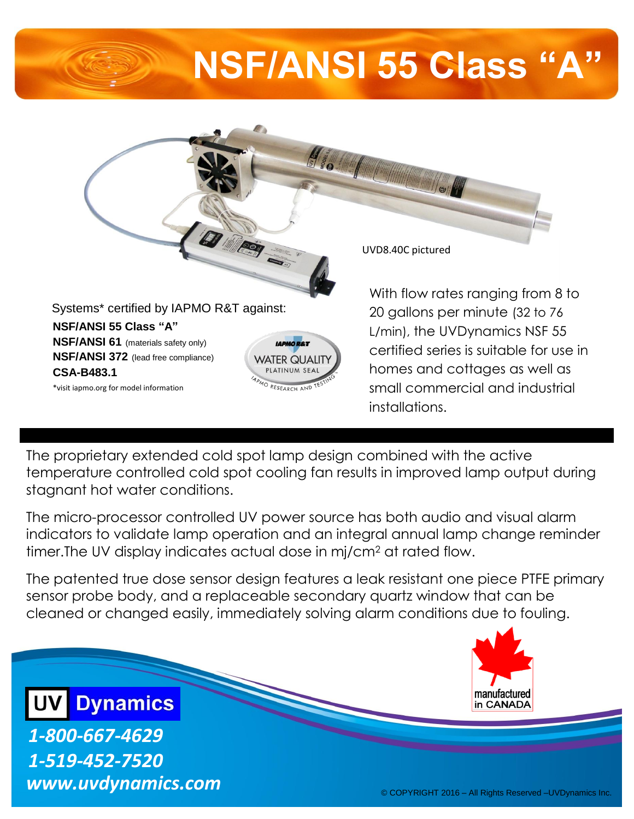## **NSF/ANSI 55 Class "A"**



The proprietary extended cold spot lamp design combined with the active temperature controlled cold spot cooling fan results in improved lamp output during stagnant hot water conditions.

The micro-processor controlled UV power source has both audio and visual alarm indicators to validate lamp operation and an integral annual lamp change reminder timer.The UV display indicates actual dose in mj/cm<sup>2</sup> at rated flow.

The patented true dose sensor design features a leak resistant one piece PTFE primary sensor probe body, and a replaceable secondary quartz window that can be cleaned or changed easily, immediately solving alarm conditions due to fouling.